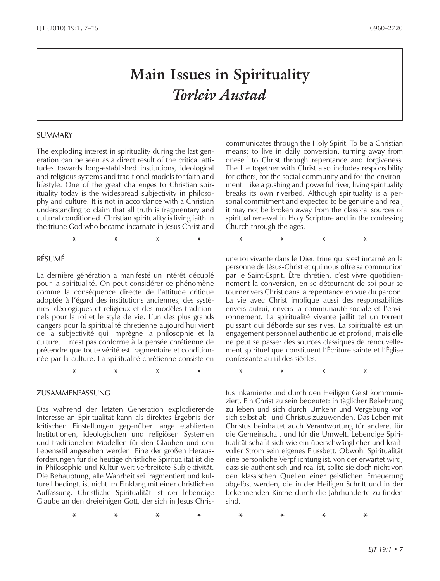# *Torleiv Austad*

#### SUMMARY

The exploding interest in spirituality during the last generation can be seen as a direct result of the critical attitudes towards long-established institutions, ideological and religious systems and traditional models for faith and lifestyle. One of the great challenges to Christian spirituality today is the widespread subjectivity in philosophy and culture. It is not in accordance with a Christian understanding to claim that all truth is fragmentary and cultural conditioned. Christian spirituality is living faith in the triune God who became incarnate in Jesus Christ and

#### RÉSUMÉ

La dernière génération a manifesté un intérêt décuplé pour la spiritualité. On peut considérer ce phénomène comme la conséquence directe de l'attitude critique adoptée à l'égard des institutions anciennes, des systèmes idéologiques et religieux et des modèles traditionnels pour la foi et le style de vie. L'un des plus grands dangers pour la spiritualité chrétienne aujourd'hui vient de la subjectivité qui imprègne la philosophie et la culture. Il n'est pas conforme à la pensée chrétienne de prétendre que toute vérité est fragmentaire et conditionnée par la culture. La spiritualité chrétienne consiste en

#### ZUSAMMENFASSUNG

Das während der letzten Generation explodierende Interesse an Spiritualität kann als direktes Ergebnis der kritischen Einstellungen gegenüber lange etablierten Institutionen, ideologischen und religiösen Systemen und traditionellen Modellen für den Glauben und den Lebensstil angesehen werden. Eine der großen Herausforderungen für die heutige christliche Spiritualität ist die in Philosophie und Kultur weit verbreitete Subjektivität. Die Behauptung, alle Wahrheit sei fragmentiert und kulturell bedingt, ist nicht im Einklang mit einer christlichen Auffassung. Christliche Spiritualität ist der lebendige Glaube an den dreieinigen Gott, der sich in Jesus Chriscommunicates through the Holy Spirit. To be a Christian means: to live in daily conversion, turning away from oneself to Christ through repentance and forgiveness. The life together with Christ also includes responsibility for others, for the social community and for the environment. Like a gushing and powerful river, living spirituality breaks its own riverbed. Although spirituality is a personal commitment and expected to be genuine and real, it may not be broken away from the classical sources of spiritual renewal in Holy Scripture and in the confessing Church through the ages.

**\* \* \* \* \* \* \* \***

une foi vivante dans le Dieu trine qui s'est incarné en la personne de Jésus-Christ et qui nous offre sa communion par le Saint-Esprit. Être chrétien, c'est vivre quotidiennement la conversion, en se détournant de soi pour se tourner vers Christ dans la repentance en vue du pardon. La vie avec Christ implique aussi des responsabilités envers autrui, envers la communauté sociale et l'environnement. La spiritualité vivante jaillit tel un torrent puissant qui déborde sur ses rives. La spiritualité est un engagement personnel authentique et profond, mais elle ne peut se passer des sources classiques de renouvellement spirituel que constituent l'Écriture sainte et l'Église confessante au fil des siècles.

**\* \* \* \* \* \* \* \***

**Main Issues in Spirituality**<br> **Torleiv Austrad**<br> **Example 18: Constrained**<br> **Example 18:** *PHOTOS CONSTRATE CONSTRATE (CONSTRATE)***<br>
<b>EXAMPLE 20:** *PHOTOS CONSTRATE CONSTRATE CONSTRATE CONSTRATE CONSTRATE CONSTRATE CO* tus inkarnierte und durch den Heiligen Geist kommuniziert. Ein Christ zu sein bedeutet: in täglicher Bekehrung zu leben und sich durch Umkehr und Vergebung von sich selbst ab- und Christus zuzuwenden. Das Leben mit Christus beinhaltet auch Verantwortung für andere, für die Gemeinschaft und für die Umwelt. Lebendige Spiritualität schafft sich wie ein überschwänglicher und kraftvoller Strom sein eigenes Flussbett. Obwohl Spiritualität eine persönliche Verpflichtung ist, von der erwartet wird, dass sie authentisch und real ist, sollte sie doch nicht von den klassischen Quellen einer geistlichen Erneuerung abgelöst werden, die in der Heiligen Schrift und in der bekennenden Kirche durch die Jahrhunderte zu finden sind.

**\* \* \* \* \* \* \* \***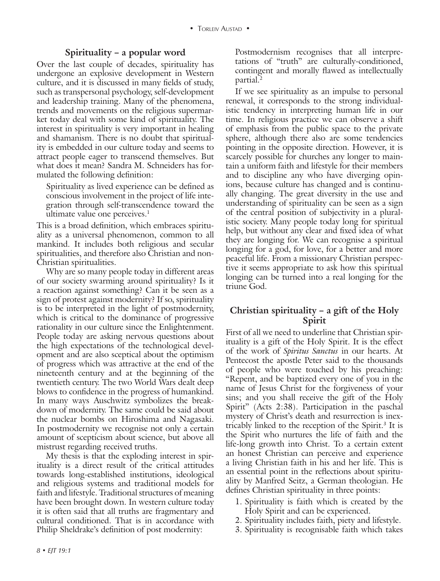## **Spirituality – a popular word**

Over the last couple of decades, spirituality has undergone an explosive development in Western culture, and it is discussed in many fields of study, such as transpersonal psychology, self-development and leadership training. Many of the phenomena, trends and movements on the religious supermarket today deal with some kind of spirituality. The interest in spirituality is very important in healing and shamanism. There is no doubt that spirituality is embedded in our culture today and seems to attract people eager to transcend themselves. But what does it mean? Sandra M. Schneiders has formulated the following definition:

Spirituality as lived experience can be defined as conscious involvement in the project of life integration through self-transcendence toward the ultimate value one perceives. $<sup>1</sup>$ </sup>

This is a broad definition, which embraces spirituality as a universal phenomenon, common to all mankind. It includes both religious and secular spiritualities, and therefore also Christian and non-Christian spiritualities.

Why are so many people today in different areas of our society swarming around spirituality? Is it a reaction against something? Can it be seen as a sign of protest against modernity? If so, spirituality is to be interpreted in the light of postmodernity, which is critical to the dominance of progressive rationality in our culture since the Enlightenment. People today are asking nervous questions about the high expectations of the technological development and are also sceptical about the optimism of progress which was attractive at the end of the nineteenth century and at the beginning of the twentieth century. The two World Wars dealt deep blows to confidence in the progress of humankind. In many ways Auschwitz symbolizes the breakdown of modernity. The same could be said about the nuclear bombs on Hiroshima and Nagasaki. In postmodernity we recognise not only a certain amount of scepticism about science, but above all mistrust regarding received truths.

My thesis is that the exploding interest in spirituality is a direct result of the critical attitudes towards long-established institutions, ideological and religious systems and traditional models for faith and lifestyle. Traditional structures of meaning have been brought down. In western culture today it is often said that all truths are fragmentary and cultural conditioned. That is in accordance with Philip Sheldrake's definition of post modernity:

Postmodernism recognises that all interpretations of "truth" are culturally-conditioned, contingent and morally flawed as intellectually partial.2

If we see spirituality as an impulse to personal renewal, it corresponds to the strong individualistic tendency in interpreting human life in our time. In religious practice we can observe a shift of emphasis from the public space to the private sphere, although there also are some tendencies pointing in the opposite direction. However, it is scarcely possible for churches any longer to maintain a uniform faith and lifestyle for their members and to discipline any who have diverging opinions, because culture has changed and is continually changing. The great diversity in the use and understanding of spirituality can be seen as a sign of the central position of subjectivity in a pluralistic society. Many people today long for spiritual help, but without any clear and fixed idea of what they are longing for. We can recognise a spiritual longing for a god, for love, for a better and more peaceful life. From a missionary Christian perspective it seems appropriate to ask how this spiritual longing can be turned into a real longing for the triune God.

## **Christian spirituality – a gift of the Holy Spirit**

First of all we need to underline that Christian spirituality is a gift of the Holy Spirit. It is the effect of the work of *Spiritus Sanctus* in our hearts. At Pentecost the apostle Peter said to the thousands of people who were touched by his preaching: "Repent, and be baptized every one of you in the name of Jesus Christ for the forgiveness of your sins; and you shall receive the gift of the Holy Spirit" (Acts 2:38). Participation in the paschal mystery of Christ's death and resurrection is inextricably linked to the reception of the Spirit.<sup>3</sup> It is the Spirit who nurtures the life of faith and the life-long growth into Christ. To a certain extent an honest Christian can perceive and experience a living Christian faith in his and her life. This is an essential point in the reflections about spirituality by Manfred Seitz, a German theologian. He defines Christian spirituality in three points:

- 1. Spirituality is faith which is created by the Holy Spirit and can be experienced.
- 2. Spirituality includes faith, piety and lifestyle.
- 3. Spirituality is recognisable faith which takes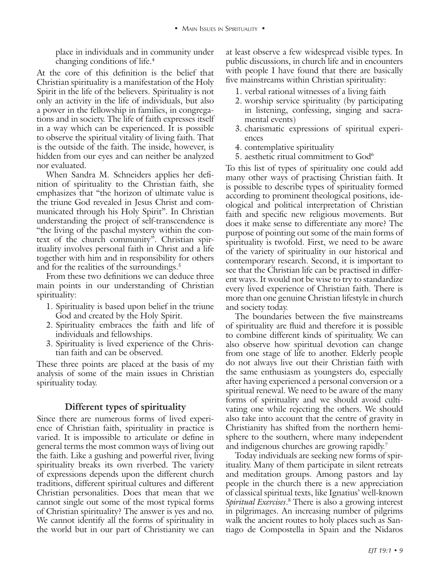changing conditions of life.4

At the core of this definition is the belief that Christian spirituality is a manifestation of the Holy Spirit in the life of the believers. Spirituality is not only an activity in the life of individuals, but also a power in the fellowship in families, in congregations and in society. The life of faith expresses itself in a way which can be experienced. It is possible to observe the spiritual vitality of living faith. That is the outside of the faith. The inside, however, is hidden from our eyes and can neither be analyzed nor evaluated.

When Sandra M. Schneiders applies her definition of spirituality to the Christian faith, she emphasizes that "the horizon of ultimate value is the triune God revealed in Jesus Christ and communicated through his Holy Spirit". In Christian understanding the project of self-transcendence is "the living of the paschal mystery within the context of the church community". Christian spirituality involves personal faith in Christ and a life together with him and in responsibility for others and for the realities of the surroundings.<sup>5</sup>

From these two definitions we can deduce three main points in our understanding of Christian spirituality:

- 1. Spirituality is based upon belief in the triune God and created by the Holy Spirit.
- 2. Spirituality embraces the faith and life of individuals and fellowships.
- 3. Spirituality is lived experience of the Christian faith and can be observed.

These three points are placed at the basis of my analysis of some of the main issues in Christian spirituality today.

## **Different types of spirituality**

Since there are numerous forms of lived experience of Christian faith, spirituality in practice is varied. It is impossible to articulate or define in general terms the most common ways of living out the faith. Like a gushing and powerful river, living spirituality breaks its own riverbed. The variety of expressions depends upon the different church traditions, different spiritual cultures and different Christian personalities. Does that mean that we cannot single out some of the most typical forms of Christian spirituality? The answer is yes and no. We cannot identify all the forms of spirituality in the world but in our part of Christianity we can

at least observe a few widespread visible types. In public discussions, in church life and in encounters with people I have found that there are basically five mainstreams within Christian spirituality:

- 1. verbal rational witnesses of a living faith
- 2. worship service spirituality (by participating in listening, confessing, singing and sacramental events)
- 3. charismatic expressions of spiritual experiences
- 4. contemplative spirituality
- 5. aesthetic ritual commitment to God<sup>6</sup>

place in individuals and in community under a lead of decision in the basis of the context propagation in the basis of the context propagation in the context propagation is the context of the context propagation in the co To this list of types of spirituality one could add many other ways of practising Christian faith. It is possible to describe types of spirituality formed according to prominent theological positions, ideological and political interpretation of Christian faith and specific new religious movements. But does it make sense to differentiate any more? The purpose of pointing out some of the main forms of spirituality is twofold. First, we need to be aware of the variety of spirituality in our historical and contemporary research. Second, it is important to see that the Christian life can be practised in different ways. It would not be wise to try to standardize every lived experience of Christian faith. There is more than one genuine Christian lifestyle in church and society today.

The boundaries between the five mainstreams of spirituality are fluid and therefore it is possible to combine different kinds of spirituality. We can also observe how spiritual devotion can change from one stage of life to another. Elderly people do not always live out their Christian faith with the same enthusiasm as youngsters do, especially after having experienced a personal conversion or a spiritual renewal. We need to be aware of the many forms of spirituality and we should avoid cultivating one while rejecting the others. We should also take into account that the centre of gravity in Christianity has shifted from the northern hemisphere to the southern, where many independent and indigenous churches are growing rapidly.<sup>7</sup>

Today individuals are seeking new forms of spirituality. Many of them participate in silent retreats and meditation groups. Among pastors and lay people in the church there is a new appreciation of classical spiritual texts, like Ignatius' well-known *Spiritual Exercises*. 8 There is also a growing interest in pilgrimages. An increasing number of pilgrims walk the ancient routes to holy places such as Santiago de Compostella in Spain and the Nidaros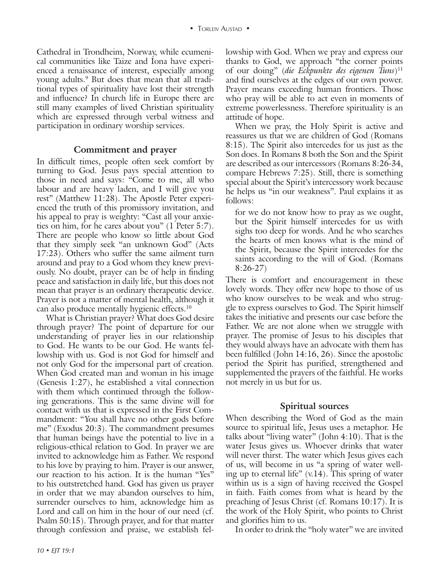Cathedral in Trondheim, Norway, while ecumenical communities like Taize and Iona have experienced a renaissance of interest, especially among young adults.9 But does that mean that all traditional types of spirituality have lost their strength and influence? In church life in Europe there are still many examples of lived Christian spirituality which are expressed through verbal witness and participation in ordinary worship services.

#### **Commitment and prayer**

In difficult times, people often seek comfort by turning to God. Jesus pays special attention to those in need and says: "Come to me, all who labour and are heavy laden, and I will give you rest" (Matthew 11:28). The Apostle Peter experienced the truth of this promissory invitation, and his appeal to pray is weighty: "Cast all your anxieties on him, for he cares about you" (1 Peter 5:7). There are people who know so little about God that they simply seek "an unknown God" (Acts 17:23). Others who suffer the same ailment turn around and pray to a God whom they knew previously. No doubt, prayer can be of help in finding peace and satisfaction in daily life, but this does not mean that prayer is an ordinary therapeutic device. Prayer is not a matter of mental health, although it can also produce mentally hygienic effects.10

What is Christian prayer? What does God desire through prayer? The point of departure for our understanding of prayer lies in our relationship to God. He wants to be our God. He wants fellowship with us. God is not God for himself and not only God for the impersonal part of creation. When God created man and woman in his image (Genesis 1:27), he established a vital connection with them which continued through the following generations. This is the same divine will for contact with us that is expressed in the First Commandment: "You shall have no other gods before me" (Exodus 20:3). The commandment presumes that human beings have the potential to live in a religious-ethical relation to God. In prayer we are invited to acknowledge him as Father. We respond to his love by praying to him. Prayer is our answer, our reaction to his action. It is the human "Yes" to his outstretched hand. God has given us prayer in order that we may abandon ourselves to him, surrender ourselves to him, acknowledge him as Lord and call on him in the hour of our need (cf. Psalm 50:15). Through prayer, and for that matter through confession and praise, we establish fellowship with God. When we pray and express our thanks to God, we approach "the corner points of our doing" (*die Eckpunkte des eigenen Tuns*)11 and find ourselves at the edges of our own power. Prayer means exceeding human frontiers. Those who pray will be able to act even in moments of extreme powerlessness. Therefore spirituality is an attitude of hope.

When we pray, the Holy Spirit is active and reassures us that we are children of God (Romans 8:15). The Spirit also intercedes for us just as the Son does. In Romans 8 both the Son and the Spirit are described as our intercessors (Romans 8:26-34, compare Hebrews 7:25). Still, there is something special about the Spirit's intercessory work because he helps us "in our weakness". Paul explains it as follows:

for we do not know how to pray as we ought, but the Spirit himself intercedes for us with sighs too deep for words. And he who searches the hearts of men knows what is the mind of the Spirit, because the Spirit intercedes for the saints according to the will of God. (Romans 8:26-27)

There is comfort and encouragement in these lovely words. They offer new hope to those of us who know ourselves to be weak and who struggle to express ourselves to God. The Spirit himself takes the initiative and presents our case before the Father. We are not alone when we struggle with prayer. The promise of Jesus to his disciples that they would always have an advocate with them has been fulfilled (John 14:16, 26). Since the apostolic period the Spirit has purified, strengthened and supplemented the prayers of the faithful. He works not merely in us but for us.

## **Spiritual sources**

When describing the Word of God as the main source to spiritual life, Jesus uses a metaphor. He talks about "living water" (John 4:10). That is the water Jesus gives us. Whoever drinks that water will never thirst. The water which Jesus gives each of us, will become in us "a spring of water welling up to eternal life"  $(v.14)$ . This spring of water within us is a sign of having received the Gospel in faith. Faith comes from what is heard by the preaching of Jesus Christ (cf. Romans 10:17). It is the work of the Holy Spirit, who points to Christ and glorifies him to us.

In order to drink the "holy water" we are invited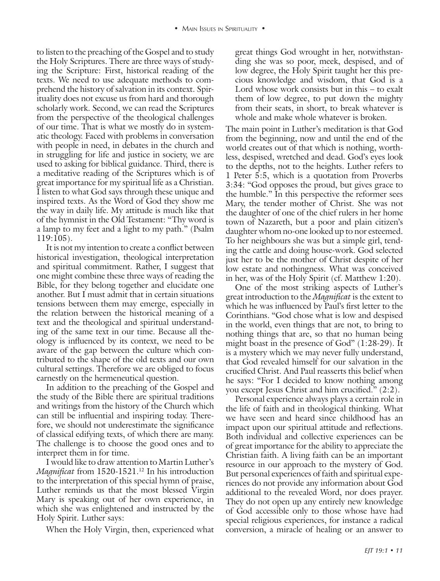to listen to the preaching of the Gospel and to study the Holy Scriptures. There are three ways of studying the Scripture: First, historical reading of the texts. We need to use adequate methods to comprehend the history of salvation in its context. Spirituality does not excuse us from hard and thorough scholarly work. Second, we can read the Scriptures from the perspective of the theological challenges of our time. That is what we mostly do in systematic theology. Faced with problems in conversation with people in need, in debates in the church and in struggling for life and justice in society, we are used to asking for biblical guidance. Third, there is a meditative reading of the Scriptures which is of great importance for my spiritual life as a Christian. I listen to what God says through these unique and inspired texts. As the Word of God they show me the way in daily life. My attitude is much like that of the hymnist in the Old Testament: "Thy word is a lamp to my feet and a light to my path." (Psalm 119:105).

It is not my intention to create a conflict between historical investigation, theological interpretation and spiritual commitment. Rather, I suggest that one might combine these three ways of reading the Bible, for they belong together and elucidate one another. But I must admit that in certain situations tensions between them may emerge, especially in the relation between the historical meaning of a text and the theological and spiritual understanding of the same text in our time. Because all theology is influenced by its context, we need to be aware of the gap between the culture which contributed to the shape of the old texts and our own cultural settings. Therefore we are obliged to focus earnestly on the hermeneutical question.

In addition to the preaching of the Gospel and the study of the Bible there are spiritual traditions and writings from the history of the Church which can still be influential and inspiring today. Therefore, we should not underestimate the significance of classical edifying texts, of which there are many. The challenge is to choose the good ones and to interpret them in for time.

I would like to draw attention to Martin Luther's *Magnificat* from 1520-1521.<sup>12</sup> In his introduction to the interpretation of this special hymn of praise, Luther reminds us that the most blessed Virgin Mary is speaking out of her own experience, in which she was enlightened and instructed by the Holy Spirit. Luther says:

When the Holy Virgin, then, experienced what

great things God wrought in her, notwithstanding she was so poor, meek, despised, and of low degree, the Holy Spirit taught her this precious knowledge and wisdom, that God is a Lord whose work consists but in this – to exalt them of low degree, to put down the mighty from their seats, in short, to break whatever is whole and make whole whatever is broken.

The main point in Luther's meditation is that God from the beginning, now and until the end of the world creates out of that which is nothing, worthless, despised, wretched and dead. God's eyes look to the depths, not to the heights. Luther refers to 1 Peter 5:5, which is a quotation from Proverbs 3:34: "God opposes the proud, but gives grace to the humble." In this perspective the reformer sees Mary, the tender mother of Christ. She was not the daughter of one of the chief rulers in her home town of Nazareth, but a poor and plain citizen's daughter whom no-one looked up to nor esteemed. To her neighbours she was but a simple girl, tending the cattle and doing house-work. God selected just her to be the mother of Christ despite of her low estate and nothingness. What was conceived in her, was of the Holy Spirit (cf. Matthew 1:20).

One of the most striking aspects of Luther's great introduction to the *Magnificat* is the extent to which he was influenced by Paul's first letter to the Corinthians. "God chose what is low and despised in the world, even things that are not, to bring to nothing things that are, so that no human being might boast in the presence of God" (1:28-29). It is a mystery which we may never fully understand, that God revealed himself for our salvation in the crucified Christ. And Paul reasserts this belief when he says: "For I decided to know nothing among you except Jesus Christ and him crucified." (2:2).

Personal experience always plays a certain role in the life of faith and in theological thinking. What we have seen and heard since childhood has an impact upon our spiritual attitude and reflections. Both individual and collective experiences can be of great importance for the ability to appreciate the Christian faith. A living faith can be an important resource in our approach to the mystery of God. But personal experiences of faith and spiritual experiences do not provide any information about God additional to the revealed Word, nor does prayer. They do not open up any entirely new knowledge of God accessible only to those whose have had special religious experiences, for instance a radical conversion, a miracle of healing or an answer to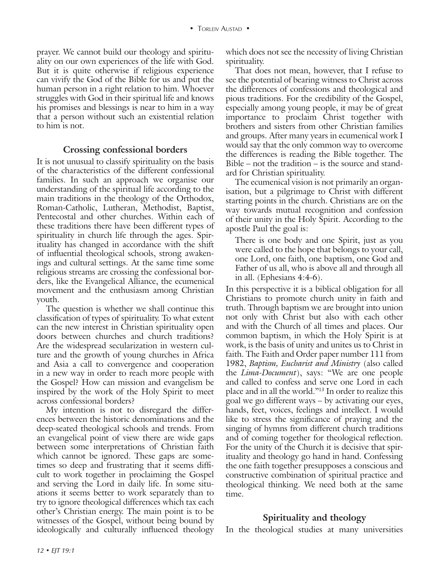prayer. We cannot build our theology and spirituality on our own experiences of the life with God. But it is quite otherwise if religious experience can vivify the God of the Bible for us and put the human person in a right relation to him. Whoever struggles with God in their spiritual life and knows his promises and blessings is near to him in a way that a person without such an existential relation to him is not.

#### **Crossing confessional borders**

It is not unusual to classify spirituality on the basis of the characteristics of the different confessional families. In such an approach we organise our understanding of the spiritual life according to the main traditions in the theology of the Orthodox, Roman-Catholic, Lutheran, Methodist, Baptist, Pentecostal and other churches. Within each of these traditions there have been different types of spirituality in church life through the ages. Spirituality has changed in accordance with the shift of influential theological schools, strong awakenings and cultural settings. At the same time some religious streams are crossing the confessional borders, like the Evangelical Alliance, the ecumenical movement and the enthusiasm among Christian youth.

The question is whether we shall continue this classification of types of spirituality. To what extent can the new interest in Christian spirituality open doors between churches and church traditions? Are the widespread secularization in western culture and the growth of young churches in Africa and Asia a call to convergence and cooperation in a new way in order to reach more people with the Gospel? How can mission and evangelism be inspired by the work of the Holy Spirit to meet across confessional borders?

My intention is not to disregard the differences between the historic denominations and the deep-seated theological schools and trends. From an evangelical point of view there are wide gaps between some interpretations of Christian faith which cannot be ignored. These gaps are sometimes so deep and frustrating that it seems difficult to work together in proclaiming the Gospel and serving the Lord in daily life. In some situations it seems better to work separately than to try to ignore theological differences which tax each other's Christian energy. The main point is to be witnesses of the Gospel, without being bound by ideologically and culturally influenced theology which does not see the necessity of living Christian spirituality.

That does not mean, however, that I refuse to see the potential of bearing witness to Christ across the differences of confessions and theological and pious traditions. For the credibility of the Gospel, especially among young people, it may be of great importance to proclaim Christ together with brothers and sisters from other Christian families and groups. After many years in ecumenical work I would say that the only common way to overcome the differences is reading the Bible together. The Bible – not the tradition – is the source and standard for Christian spirituality.

The ecumenical vision is not primarily an organisation, but a pilgrimage to Christ with different starting points in the church. Christians are on the way towards mutual recognition and confession of their unity in the Holy Spirit. According to the apostle Paul the goal is:

There is one body and one Spirit, just as you were called to the hope that belongs to your call, one Lord, one faith, one baptism, one God and Father of us all, who is above all and through all in all. (Ephesians 4:4-6).

In this perspective it is a biblical obligation for all Christians to promote church unity in faith and truth. Through baptism we are brought into union not only with Christ but also with each other and with the Church of all times and places. Our common baptism, in which the Holy Spirit is at work, is the basis of unity and unites us to Christ in faith. The Faith and Order paper number 111 from 1982, *Baptism, Eucharist and Ministry* (also called the *Lima-Document*), says: "We are one people and called to confess and serve one Lord in each place and in all the world."13 In order to realize this goal we go different ways – by activating our eyes, hands, feet, voices, feelings and intellect. I would like to stress the significance of praying and the singing of hymns from different church traditions and of coming together for theological reflection. For the unity of the Church it is decisive that spirituality and theology go hand in hand. Confessing the one faith together presupposes a conscious and constructive combination of spiritual practice and theological thinking. We need both at the same time.

## **Spirituality and theology**

In the theological studies at many universities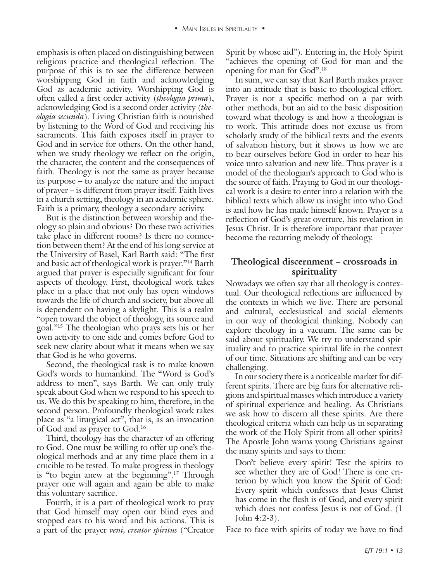religious practice and theological reflection. The purpose of this is to see the difference between worshipping God in faith and acknowledging God as academic activity. Worshipping God is often called a first order activity (*theologia prima*), acknowledging God is a second order activity (*theologia secunda*). Living Christian faith is nourished by listening to the Word of God and receiving his sacraments. This faith exposes itself in prayer to God and in service for others. On the other hand, when we study theology we reflect on the origin, the character, the content and the consequences of faith. Theology is not the same as prayer because its purpose – to analyze the nature and the impact of prayer – is different from prayer itself. Faith lives in a church setting, theology in an academic sphere. Faith is a primary, theology a secondary activity.

But is the distinction between worship and theology so plain and obvious? Do these two activities take place in different rooms? Is there no connection between them? At the end of his long service at the University of Basel, Karl Barth said: "The first and basic act of theological work is prayer."14 Barth argued that prayer is especially significant for four aspects of theology. First, theological work takes place in a place that not only has open windows towards the life of church and society, but above all is dependent on having a skylight. This is a realm "open toward the object of theology, its source and goal."15 The theologian who prays sets his or her own activity to one side and comes before God to seek new clarity about what it means when we say that God is he who governs.

Second, the theological task is to make known God's words to humankind. The "Word is God's address to men", says Barth. We can only truly speak about God when we respond to his speech to us. We do this by speaking to him, therefore, in the second person. Profoundly theological work takes place as "a liturgical act", that is, as an invocation of God and as prayer to God.16

Third, theology has the character of an offering to God. One must be willing to offer up one's theological methods and at any time place them in a crucible to be tested. To make progress in theology is "to begin anew at the beginning".17 Through prayer one will again and again be able to make this voluntary sacrifice.

Fourth, it is a part of theological work to pray that God himself may open our blind eyes and stopped ears to his word and his actions. This is a part of the prayer *veni, creator spiritus* ("Creator

Spirit by whose aid"). Entering in, the Holy Spirit "achieves the opening of God for man and the opening for man for God".18

emphasis interplaced on the Hoysier is perfect on the Hoysier and the Hoysier interplace of the Hoysier interplace of the Hoysier interplace of the Hoysier interplace Cod in a calculated on the Hoysier interplace of the Ho In sum, we can say that Karl Barth makes prayer into an attitude that is basic to theological effort. Prayer is not a specific method on a par with other methods, but an aid to the basic disposition toward what theology is and how a theologian is to work. This attitude does not excuse us from scholarly study of the biblical texts and the events of salvation history, but it shows us how we are to bear ourselves before God in order to hear his voice unto salvation and new life. Thus prayer is a model of the theologian's approach to God who is the source of faith. Praying to God in our theological work is a desire to enter into a relation with the biblical texts which allow us insight into who God is and how he has made himself known. Prayer is a reflection of God's great overture, his revelation in Jesus Christ. It is therefore important that prayer become the recurring melody of theology.

## **Theological discernment – crossroads in spirituality**

Nowadays we often say that all theology is contextual. Our theological reflections are influenced by the contexts in which we live. There are personal and cultural, ecclesiastical and social elements in our way of theological thinking. Nobody can explore theology in a vacuum. The same can be said about spirituality. We try to understand spirituality and to practice spiritual life in the context of our time. Situations are shifting and can be very challenging.

In our society there is a noticeable market for different spirits. There are big fairs for alternative religions and spiritual masses which introduce a variety of spiritual experience and healing. As Christians we ask how to discern all these spirits. Are there theological criteria which can help us in separating the work of the Holy Spirit from all other spirits? The Apostle John warns young Christians against the many spirits and says to them:

Don't believe every spirit! Test the spirits to see whether they are of God! There is one criterion by which you know the Spirit of God: Every spirit which confesses that Jesus Christ has come in the flesh is of God, and every spirit which does not confess Jesus is not of God. (1 John 4:2-3).

Face to face with spirits of today we have to find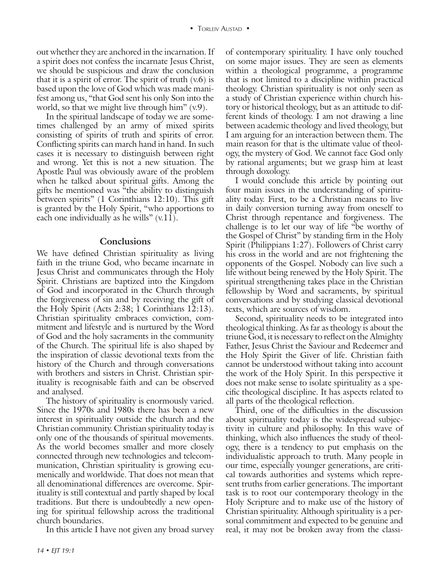out whether they are anchored in the incarnation. If a spirit does not confess the incarnate Jesus Christ, we should be suspicious and draw the conclusion that it is a spirit of error. The spirit of truth  $(v.6)$  is based upon the love of God which was made manifest among us, "that God sent his only Son into the world, so that we might live through him"  $(v.9)$ .

In the spiritual landscape of today we are sometimes challenged by an army of mixed spirits consisting of spirits of truth and spirits of error. Conflicting spirits can march hand in hand. In such cases it is necessary to distinguish between right and wrong. Yet this is not a new situation. The Apostle Paul was obviously aware of the problem when he talked about spiritual gifts. Among the gifts he mentioned was "the ability to distinguish between spirits" (1 Corinthians 12:10). This gift is granted by the Holy Spirit, "who apportions to each one individually as he wills"  $(v.11)$ .

#### **Conclusions**

We have defined Christian spirituality as living faith in the triune God, who became incarnate in Jesus Christ and communicates through the Holy Spirit. Christians are baptized into the Kingdom of God and incorporated in the Church through the forgiveness of sin and by receiving the gift of the Holy Spirit (Acts 2:38; 1 Corinthians 12:13). Christian spirituality embraces conviction, commitment and lifestyle and is nurtured by the Word of God and the holy sacraments in the community of the Church. The spiritual life is also shaped by the inspiration of classic devotional texts from the history of the Church and through conversations with brothers and sisters in Christ. Christian spirituality is recognisable faith and can be observed and analysed.

The history of spirituality is enormously varied. Since the 1970s and 1980s there has been a new interest in spirituality outside the church and the Christian community. Christian spirituality today is only one of the thousands of spiritual movements. As the world becomes smaller and more closely connected through new technologies and telecommunication, Christian spirituality is growing ecumenically and worldwide. That does not mean that all denominational differences are overcome. Spirituality is still contextual and partly shaped by local traditions. But there is undoubtedly a new opening for spiritual fellowship across the traditional church boundaries.

In this article I have not given any broad survey

of contemporary spirituality. I have only touched on some major issues. They are seen as elements within a theological programme, a programme that is not limited to a discipline within practical theology. Christian spirituality is not only seen as a study of Christian experience within church history or historical theology, but as an attitude to different kinds of theology. I am not drawing a line between academic theology and lived theology, but I am arguing for an interaction between them. The main reason for that is the ultimate value of theology, the mystery of God. We cannot face God only by rational arguments; but we grasp him at least through doxology.

I would conclude this article by pointing out four main issues in the understanding of spirituality today. First, to be a Christian means to live in daily conversion turning away from oneself to Christ through repentance and forgiveness. The challenge is to let our way of life "be worthy of the Gospel of Christ" by standing firm in the Holy Spirit (Philippians 1:27). Followers of Christ carry his cross in the world and are not frightening the opponents of the Gospel. Nobody can live such a life without being renewed by the Holy Spirit. The spiritual strengthening takes place in the Christian fellowship by Word and sacraments, by spiritual conversations and by studying classical devotional texts, which are sources of wisdom.

Second, spirituality needs to be integrated into theological thinking. As far as theology is about the triune God, it is necessary to reflect on the Almighty Father, Jesus Christ the Saviour and Redeemer and the Holy Spirit the Giver of life. Christian faith cannot be understood without taking into account the work of the Holy Spirit. In this perspective it does not make sense to isolate spirituality as a specific theological discipline. It has aspects related to all parts of the theological reflection.

Third, one of the difficulties in the discussion about spirituality today is the widespread subjectivity in culture and philosophy. In this wave of thinking, which also influences the study of theology, there is a tendency to put emphasis on the individualistic approach to truth. Many people in our time, especially younger generations, are critical towards authorities and systems which represent truths from earlier generations. The important task is to root our contemporary theology in the Holy Scripture and to make use of the history of Christian spirituality. Although spirituality is a personal commitment and expected to be genuine and real, it may not be broken away from the classi